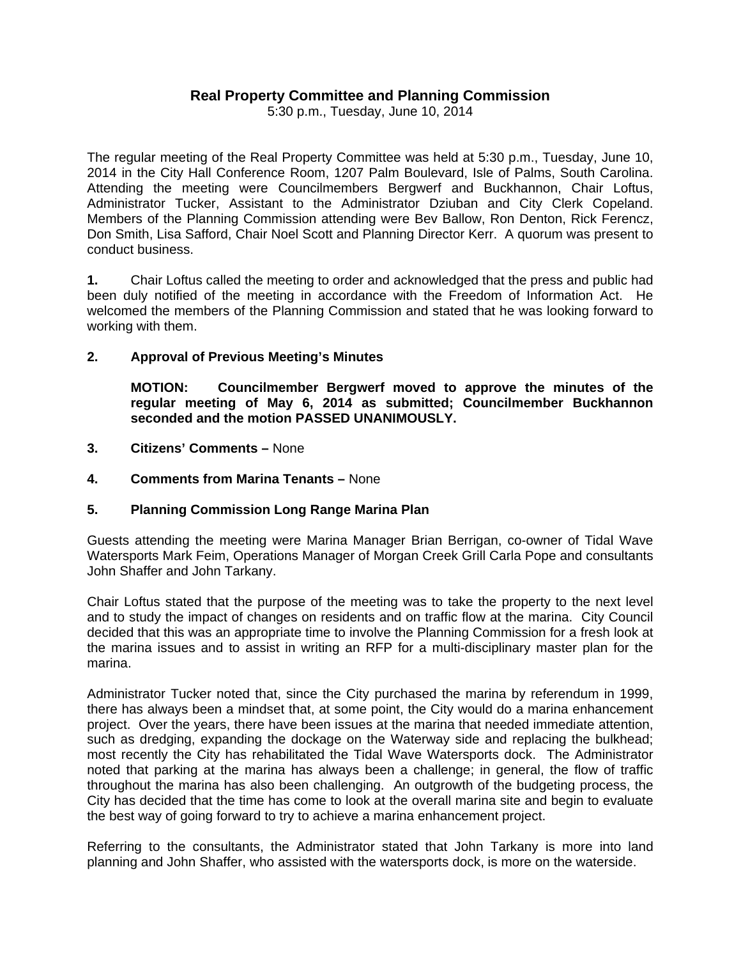# **Real Property Committee and Planning Commission**

5:30 p.m., Tuesday, June 10, 2014

The regular meeting of the Real Property Committee was held at 5:30 p.m., Tuesday, June 10, 2014 in the City Hall Conference Room, 1207 Palm Boulevard, Isle of Palms, South Carolina. Attending the meeting were Councilmembers Bergwerf and Buckhannon, Chair Loftus, Administrator Tucker, Assistant to the Administrator Dziuban and City Clerk Copeland. Members of the Planning Commission attending were Bev Ballow, Ron Denton, Rick Ferencz, Don Smith, Lisa Safford, Chair Noel Scott and Planning Director Kerr. A quorum was present to conduct business.

**1.** Chair Loftus called the meeting to order and acknowledged that the press and public had been duly notified of the meeting in accordance with the Freedom of Information Act. He welcomed the members of the Planning Commission and stated that he was looking forward to working with them.

#### **2. Approval of Previous Meeting's Minutes**

 **MOTION: Councilmember Bergwerf moved to approve the minutes of the regular meeting of May 6, 2014 as submitted; Councilmember Buckhannon seconded and the motion PASSED UNANIMOUSLY.** 

- **3. Citizens' Comments** None
- **4. Comments from Marina Tenants** None

#### **5. Planning Commission Long Range Marina Plan**

Guests attending the meeting were Marina Manager Brian Berrigan, co-owner of Tidal Wave Watersports Mark Feim, Operations Manager of Morgan Creek Grill Carla Pope and consultants John Shaffer and John Tarkany.

Chair Loftus stated that the purpose of the meeting was to take the property to the next level and to study the impact of changes on residents and on traffic flow at the marina. City Council decided that this was an appropriate time to involve the Planning Commission for a fresh look at the marina issues and to assist in writing an RFP for a multi-disciplinary master plan for the marina.

Administrator Tucker noted that, since the City purchased the marina by referendum in 1999, there has always been a mindset that, at some point, the City would do a marina enhancement project. Over the years, there have been issues at the marina that needed immediate attention, such as dredging, expanding the dockage on the Waterway side and replacing the bulkhead; most recently the City has rehabilitated the Tidal Wave Watersports dock. The Administrator noted that parking at the marina has always been a challenge; in general, the flow of traffic throughout the marina has also been challenging. An outgrowth of the budgeting process, the City has decided that the time has come to look at the overall marina site and begin to evaluate the best way of going forward to try to achieve a marina enhancement project.

Referring to the consultants, the Administrator stated that John Tarkany is more into land planning and John Shaffer, who assisted with the watersports dock, is more on the waterside.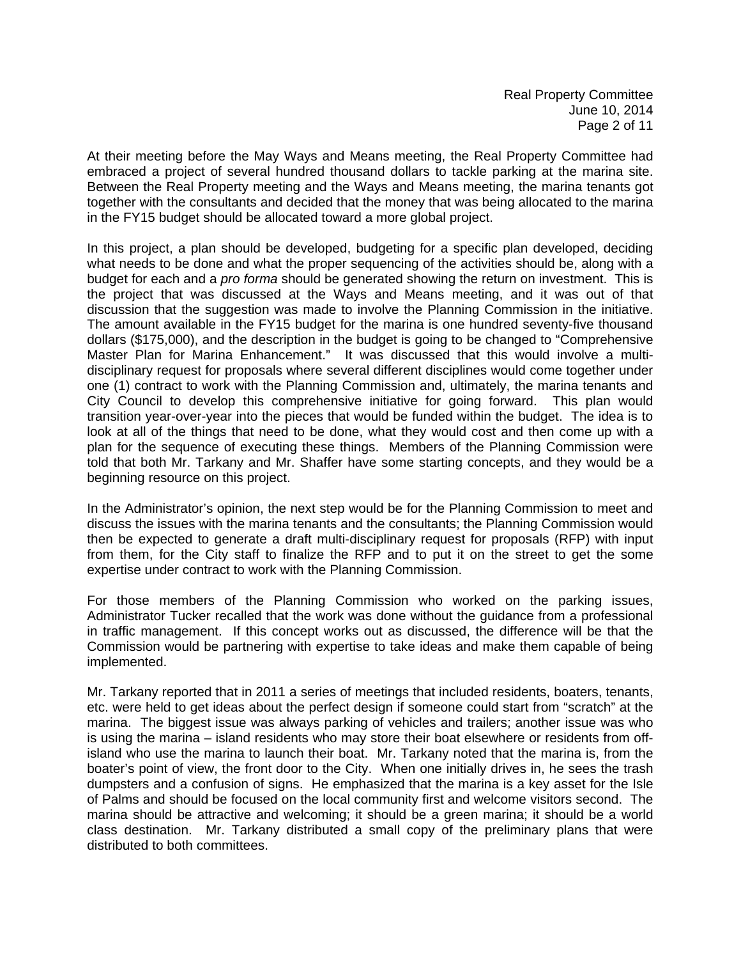At their meeting before the May Ways and Means meeting, the Real Property Committee had embraced a project of several hundred thousand dollars to tackle parking at the marina site. Between the Real Property meeting and the Ways and Means meeting, the marina tenants got together with the consultants and decided that the money that was being allocated to the marina in the FY15 budget should be allocated toward a more global project.

In this project, a plan should be developed, budgeting for a specific plan developed, deciding what needs to be done and what the proper sequencing of the activities should be, along with a budget for each and a *pro forma* should be generated showing the return on investment. This is the project that was discussed at the Ways and Means meeting, and it was out of that discussion that the suggestion was made to involve the Planning Commission in the initiative. The amount available in the FY15 budget for the marina is one hundred seventy-five thousand dollars (\$175,000), and the description in the budget is going to be changed to "Comprehensive Master Plan for Marina Enhancement." It was discussed that this would involve a multidisciplinary request for proposals where several different disciplines would come together under one (1) contract to work with the Planning Commission and, ultimately, the marina tenants and City Council to develop this comprehensive initiative for going forward. This plan would transition year-over-year into the pieces that would be funded within the budget. The idea is to look at all of the things that need to be done, what they would cost and then come up with a plan for the sequence of executing these things. Members of the Planning Commission were told that both Mr. Tarkany and Mr. Shaffer have some starting concepts, and they would be a beginning resource on this project.

In the Administrator's opinion, the next step would be for the Planning Commission to meet and discuss the issues with the marina tenants and the consultants; the Planning Commission would then be expected to generate a draft multi-disciplinary request for proposals (RFP) with input from them, for the City staff to finalize the RFP and to put it on the street to get the some expertise under contract to work with the Planning Commission.

For those members of the Planning Commission who worked on the parking issues, Administrator Tucker recalled that the work was done without the guidance from a professional in traffic management. If this concept works out as discussed, the difference will be that the Commission would be partnering with expertise to take ideas and make them capable of being implemented.

Mr. Tarkany reported that in 2011 a series of meetings that included residents, boaters, tenants, etc. were held to get ideas about the perfect design if someone could start from "scratch" at the marina. The biggest issue was always parking of vehicles and trailers; another issue was who is using the marina – island residents who may store their boat elsewhere or residents from offisland who use the marina to launch their boat. Mr. Tarkany noted that the marina is, from the boater's point of view, the front door to the City. When one initially drives in, he sees the trash dumpsters and a confusion of signs. He emphasized that the marina is a key asset for the Isle of Palms and should be focused on the local community first and welcome visitors second. The marina should be attractive and welcoming; it should be a green marina; it should be a world class destination. Mr. Tarkany distributed a small copy of the preliminary plans that were distributed to both committees.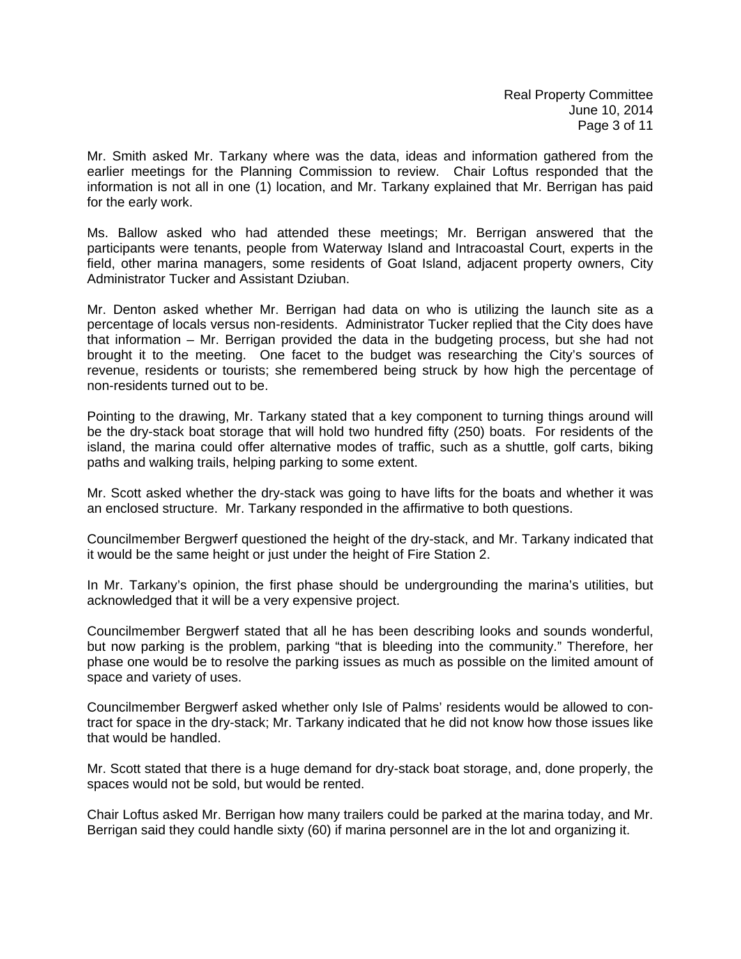Mr. Smith asked Mr. Tarkany where was the data, ideas and information gathered from the earlier meetings for the Planning Commission to review. Chair Loftus responded that the information is not all in one (1) location, and Mr. Tarkany explained that Mr. Berrigan has paid for the early work.

Ms. Ballow asked who had attended these meetings; Mr. Berrigan answered that the participants were tenants, people from Waterway Island and Intracoastal Court, experts in the field, other marina managers, some residents of Goat Island, adjacent property owners, City Administrator Tucker and Assistant Dziuban.

Mr. Denton asked whether Mr. Berrigan had data on who is utilizing the launch site as a percentage of locals versus non-residents. Administrator Tucker replied that the City does have that information – Mr. Berrigan provided the data in the budgeting process, but she had not brought it to the meeting. One facet to the budget was researching the City's sources of revenue, residents or tourists; she remembered being struck by how high the percentage of non-residents turned out to be.

Pointing to the drawing, Mr. Tarkany stated that a key component to turning things around will be the dry-stack boat storage that will hold two hundred fifty (250) boats. For residents of the island, the marina could offer alternative modes of traffic, such as a shuttle, golf carts, biking paths and walking trails, helping parking to some extent.

Mr. Scott asked whether the dry-stack was going to have lifts for the boats and whether it was an enclosed structure. Mr. Tarkany responded in the affirmative to both questions.

Councilmember Bergwerf questioned the height of the dry-stack, and Mr. Tarkany indicated that it would be the same height or just under the height of Fire Station 2.

In Mr. Tarkany's opinion, the first phase should be undergrounding the marina's utilities, but acknowledged that it will be a very expensive project.

Councilmember Bergwerf stated that all he has been describing looks and sounds wonderful, but now parking is the problem, parking "that is bleeding into the community." Therefore, her phase one would be to resolve the parking issues as much as possible on the limited amount of space and variety of uses.

Councilmember Bergwerf asked whether only Isle of Palms' residents would be allowed to contract for space in the dry-stack; Mr. Tarkany indicated that he did not know how those issues like that would be handled.

Mr. Scott stated that there is a huge demand for dry-stack boat storage, and, done properly, the spaces would not be sold, but would be rented.

Chair Loftus asked Mr. Berrigan how many trailers could be parked at the marina today, and Mr. Berrigan said they could handle sixty (60) if marina personnel are in the lot and organizing it.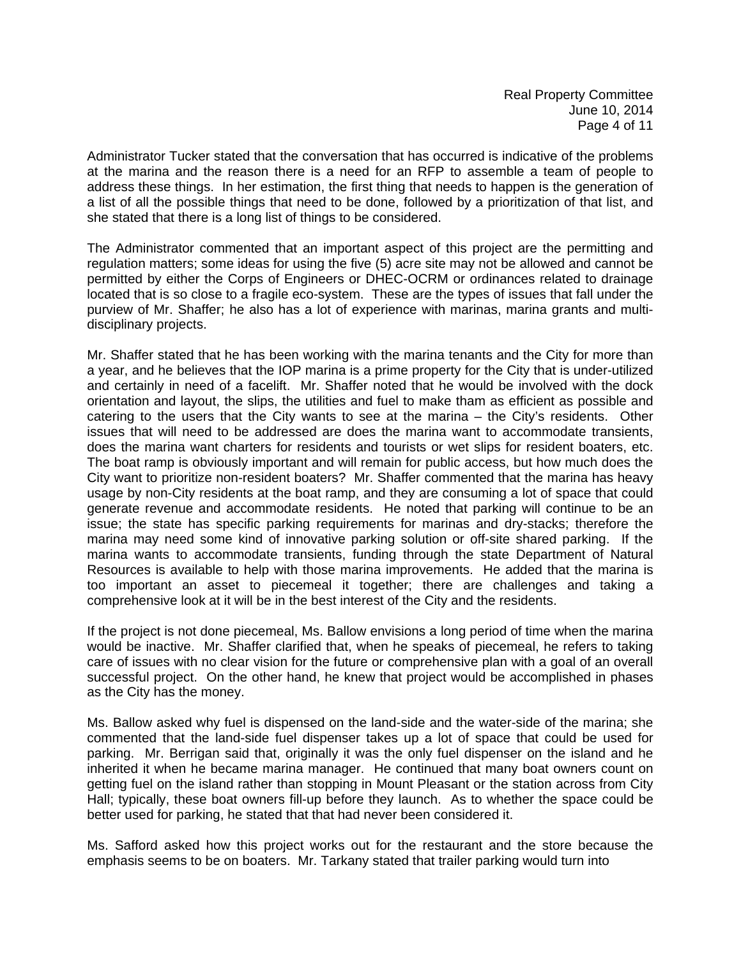Administrator Tucker stated that the conversation that has occurred is indicative of the problems at the marina and the reason there is a need for an RFP to assemble a team of people to address these things. In her estimation, the first thing that needs to happen is the generation of a list of all the possible things that need to be done, followed by a prioritization of that list, and she stated that there is a long list of things to be considered.

The Administrator commented that an important aspect of this project are the permitting and regulation matters; some ideas for using the five (5) acre site may not be allowed and cannot be permitted by either the Corps of Engineers or DHEC-OCRM or ordinances related to drainage located that is so close to a fragile eco-system. These are the types of issues that fall under the purview of Mr. Shaffer; he also has a lot of experience with marinas, marina grants and multidisciplinary projects.

Mr. Shaffer stated that he has been working with the marina tenants and the City for more than a year, and he believes that the IOP marina is a prime property for the City that is under-utilized and certainly in need of a facelift. Mr. Shaffer noted that he would be involved with the dock orientation and layout, the slips, the utilities and fuel to make tham as efficient as possible and catering to the users that the City wants to see at the marina – the City's residents. Other issues that will need to be addressed are does the marina want to accommodate transients, does the marina want charters for residents and tourists or wet slips for resident boaters, etc. The boat ramp is obviously important and will remain for public access, but how much does the City want to prioritize non-resident boaters? Mr. Shaffer commented that the marina has heavy usage by non-City residents at the boat ramp, and they are consuming a lot of space that could generate revenue and accommodate residents. He noted that parking will continue to be an issue; the state has specific parking requirements for marinas and dry-stacks; therefore the marina may need some kind of innovative parking solution or off-site shared parking. If the marina wants to accommodate transients, funding through the state Department of Natural Resources is available to help with those marina improvements. He added that the marina is too important an asset to piecemeal it together; there are challenges and taking a comprehensive look at it will be in the best interest of the City and the residents.

If the project is not done piecemeal, Ms. Ballow envisions a long period of time when the marina would be inactive. Mr. Shaffer clarified that, when he speaks of piecemeal, he refers to taking care of issues with no clear vision for the future or comprehensive plan with a goal of an overall successful project. On the other hand, he knew that project would be accomplished in phases as the City has the money.

Ms. Ballow asked why fuel is dispensed on the land-side and the water-side of the marina; she commented that the land-side fuel dispenser takes up a lot of space that could be used for parking. Mr. Berrigan said that, originally it was the only fuel dispenser on the island and he inherited it when he became marina manager. He continued that many boat owners count on getting fuel on the island rather than stopping in Mount Pleasant or the station across from City Hall; typically, these boat owners fill-up before they launch. As to whether the space could be better used for parking, he stated that that had never been considered it.

Ms. Safford asked how this project works out for the restaurant and the store because the emphasis seems to be on boaters. Mr. Tarkany stated that trailer parking would turn into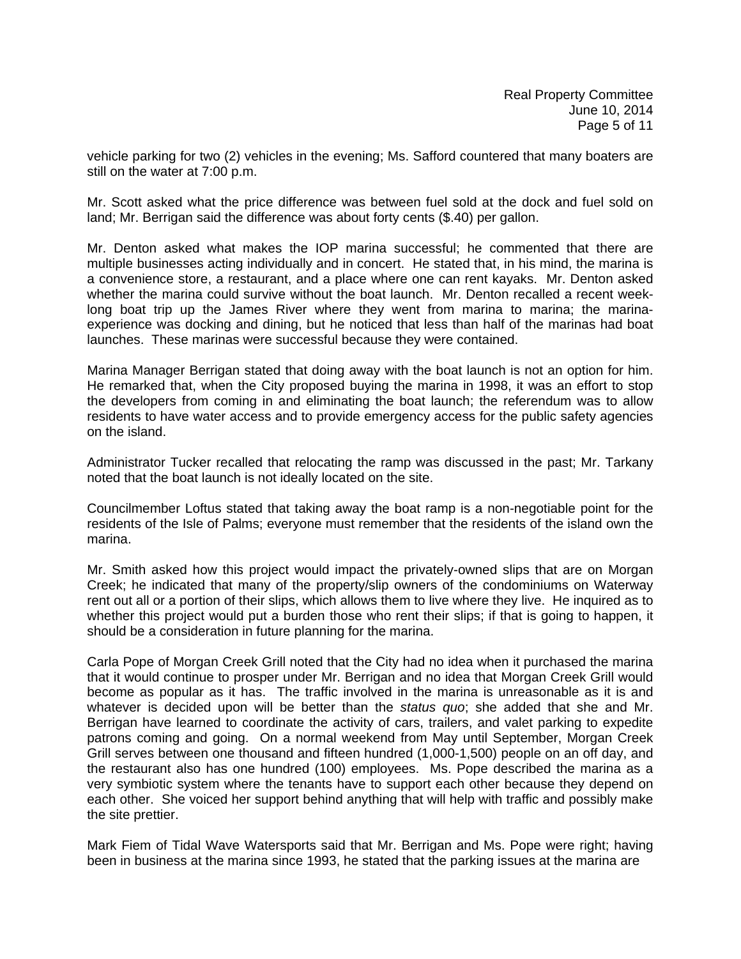vehicle parking for two (2) vehicles in the evening; Ms. Safford countered that many boaters are still on the water at 7:00 p.m.

Mr. Scott asked what the price difference was between fuel sold at the dock and fuel sold on land; Mr. Berrigan said the difference was about forty cents (\$.40) per gallon.

Mr. Denton asked what makes the IOP marina successful; he commented that there are multiple businesses acting individually and in concert. He stated that, in his mind, the marina is a convenience store, a restaurant, and a place where one can rent kayaks. Mr. Denton asked whether the marina could survive without the boat launch. Mr. Denton recalled a recent weeklong boat trip up the James River where they went from marina to marina; the marinaexperience was docking and dining, but he noticed that less than half of the marinas had boat launches. These marinas were successful because they were contained.

Marina Manager Berrigan stated that doing away with the boat launch is not an option for him. He remarked that, when the City proposed buying the marina in 1998, it was an effort to stop the developers from coming in and eliminating the boat launch; the referendum was to allow residents to have water access and to provide emergency access for the public safety agencies on the island.

Administrator Tucker recalled that relocating the ramp was discussed in the past; Mr. Tarkany noted that the boat launch is not ideally located on the site.

Councilmember Loftus stated that taking away the boat ramp is a non-negotiable point for the residents of the Isle of Palms; everyone must remember that the residents of the island own the marina.

Mr. Smith asked how this project would impact the privately-owned slips that are on Morgan Creek; he indicated that many of the property/slip owners of the condominiums on Waterway rent out all or a portion of their slips, which allows them to live where they live. He inquired as to whether this project would put a burden those who rent their slips; if that is going to happen, it should be a consideration in future planning for the marina.

Carla Pope of Morgan Creek Grill noted that the City had no idea when it purchased the marina that it would continue to prosper under Mr. Berrigan and no idea that Morgan Creek Grill would become as popular as it has. The traffic involved in the marina is unreasonable as it is and whatever is decided upon will be better than the *status quo*; she added that she and Mr. Berrigan have learned to coordinate the activity of cars, trailers, and valet parking to expedite patrons coming and going. On a normal weekend from May until September, Morgan Creek Grill serves between one thousand and fifteen hundred (1,000-1,500) people on an off day, and the restaurant also has one hundred (100) employees. Ms. Pope described the marina as a very symbiotic system where the tenants have to support each other because they depend on each other. She voiced her support behind anything that will help with traffic and possibly make the site prettier.

Mark Fiem of Tidal Wave Watersports said that Mr. Berrigan and Ms. Pope were right; having been in business at the marina since 1993, he stated that the parking issues at the marina are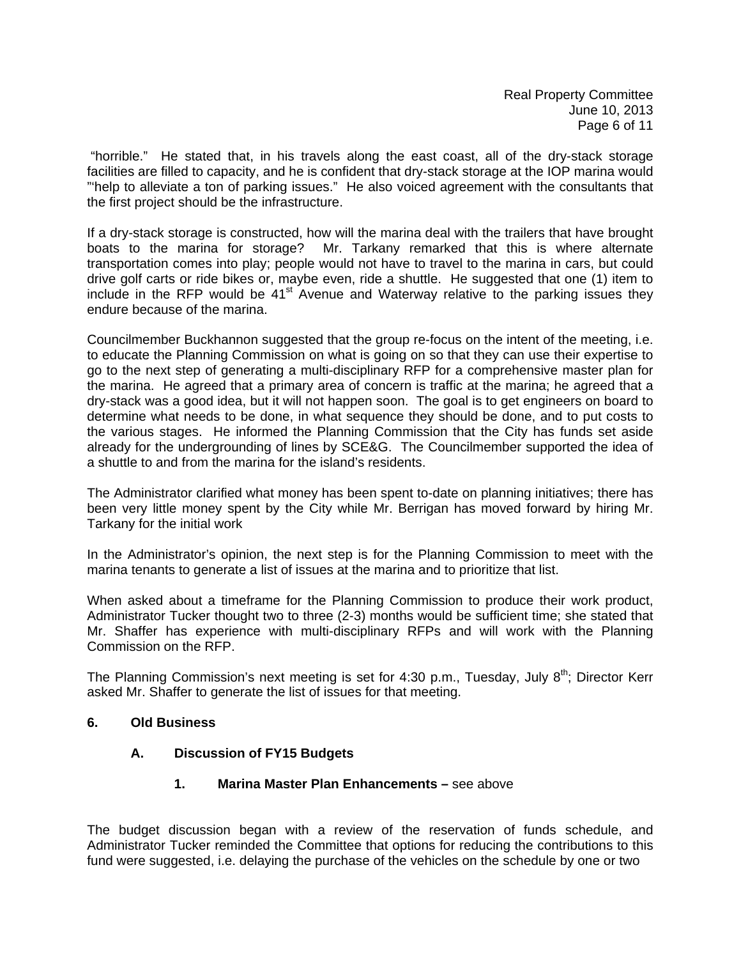"horrible." He stated that, in his travels along the east coast, all of the dry-stack storage facilities are filled to capacity, and he is confident that dry-stack storage at the IOP marina would "'help to alleviate a ton of parking issues." He also voiced agreement with the consultants that the first project should be the infrastructure.

If a dry-stack storage is constructed, how will the marina deal with the trailers that have brought boats to the marina for storage? Mr. Tarkany remarked that this is where alternate transportation comes into play; people would not have to travel to the marina in cars, but could drive golf carts or ride bikes or, maybe even, ride a shuttle. He suggested that one (1) item to include in the RFP would be  $41<sup>st</sup>$  Avenue and Waterway relative to the parking issues they endure because of the marina.

Councilmember Buckhannon suggested that the group re-focus on the intent of the meeting, i.e. to educate the Planning Commission on what is going on so that they can use their expertise to go to the next step of generating a multi-disciplinary RFP for a comprehensive master plan for the marina. He agreed that a primary area of concern is traffic at the marina; he agreed that a dry-stack was a good idea, but it will not happen soon. The goal is to get engineers on board to determine what needs to be done, in what sequence they should be done, and to put costs to the various stages. He informed the Planning Commission that the City has funds set aside already for the undergrounding of lines by SCE&G. The Councilmember supported the idea of a shuttle to and from the marina for the island's residents.

The Administrator clarified what money has been spent to-date on planning initiatives; there has been very little money spent by the City while Mr. Berrigan has moved forward by hiring Mr. Tarkany for the initial work

In the Administrator's opinion, the next step is for the Planning Commission to meet with the marina tenants to generate a list of issues at the marina and to prioritize that list.

When asked about a timeframe for the Planning Commission to produce their work product, Administrator Tucker thought two to three (2-3) months would be sufficient time; she stated that Mr. Shaffer has experience with multi-disciplinary RFPs and will work with the Planning Commission on the RFP.

The Planning Commission's next meeting is set for 4:30 p.m., Tuesday, July  $8<sup>th</sup>$ ; Director Kerr asked Mr. Shaffer to generate the list of issues for that meeting.

### **6. Old Business**

### **A. Discussion of FY15 Budgets**

### **1. Marina Master Plan Enhancements –** see above

The budget discussion began with a review of the reservation of funds schedule, and Administrator Tucker reminded the Committee that options for reducing the contributions to this fund were suggested, i.e. delaying the purchase of the vehicles on the schedule by one or two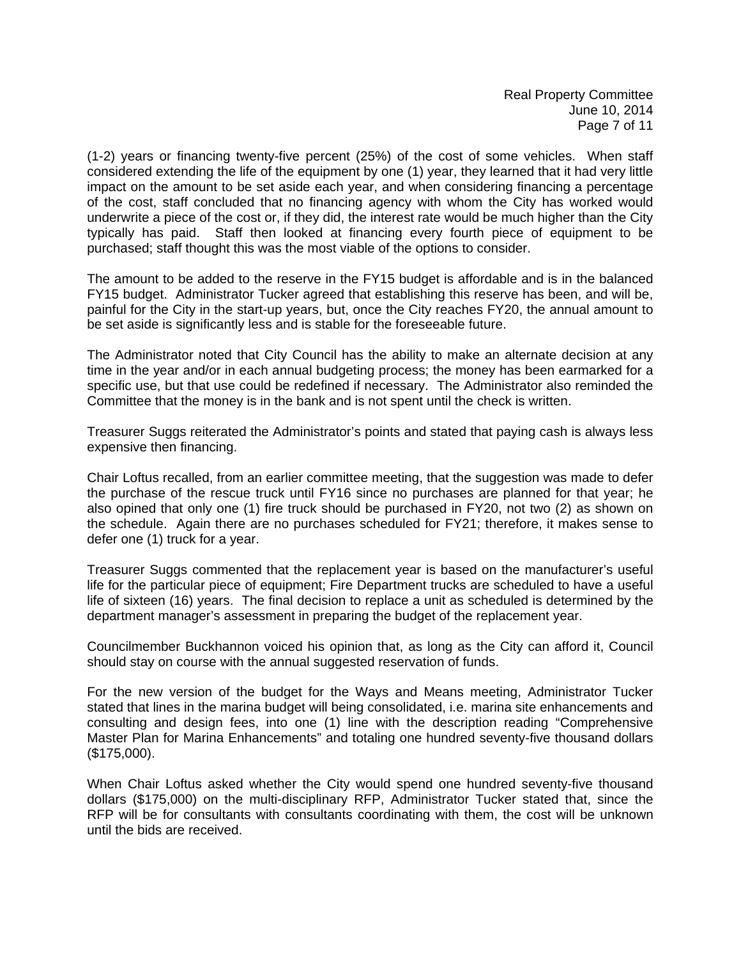(1-2) years or financing twenty-five percent (25%) of the cost of some vehicles. When staff considered extending the life of the equipment by one (1) year, they learned that it had very little impact on the amount to be set aside each year, and when considering financing a percentage of the cost, staff concluded that no financing agency with whom the City has worked would underwrite a piece of the cost or, if they did, the interest rate would be much higher than the City typically has paid. Staff then looked at financing every fourth piece of equipment to be purchased; staff thought this was the most viable of the options to consider.

The amount to be added to the reserve in the FY15 budget is affordable and is in the balanced FY15 budget. Administrator Tucker agreed that establishing this reserve has been, and will be, painful for the City in the start-up years, but, once the City reaches FY20, the annual amount to be set aside is significantly less and is stable for the foreseeable future.

The Administrator noted that City Council has the ability to make an alternate decision at any time in the year and/or in each annual budgeting process; the money has been earmarked for a specific use, but that use could be redefined if necessary. The Administrator also reminded the Committee that the money is in the bank and is not spent until the check is written.

Treasurer Suggs reiterated the Administrator's points and stated that paying cash is always less expensive then financing.

Chair Loftus recalled, from an earlier committee meeting, that the suggestion was made to defer the purchase of the rescue truck until FY16 since no purchases are planned for that year; he also opined that only one (1) fire truck should be purchased in FY20, not two (2) as shown on the schedule. Again there are no purchases scheduled for FY21; therefore, it makes sense to defer one (1) truck for a year.

Treasurer Suggs commented that the replacement year is based on the manufacturer's useful life for the particular piece of equipment; Fire Department trucks are scheduled to have a useful life of sixteen (16) years. The final decision to replace a unit as scheduled is determined by the department manager's assessment in preparing the budget of the replacement year.

Councilmember Buckhannon voiced his opinion that, as long as the City can afford it, Council should stay on course with the annual suggested reservation of funds.

For the new version of the budget for the Ways and Means meeting, Administrator Tucker stated that lines in the marina budget will being consolidated, i.e. marina site enhancements and consulting and design fees, into one (1) line with the description reading "Comprehensive Master Plan for Marina Enhancements" and totaling one hundred seventy-five thousand dollars (\$175,000).

When Chair Loftus asked whether the City would spend one hundred seventy-five thousand dollars (\$175,000) on the multi-disciplinary RFP, Administrator Tucker stated that, since the RFP will be for consultants with consultants coordinating with them, the cost will be unknown until the bids are received.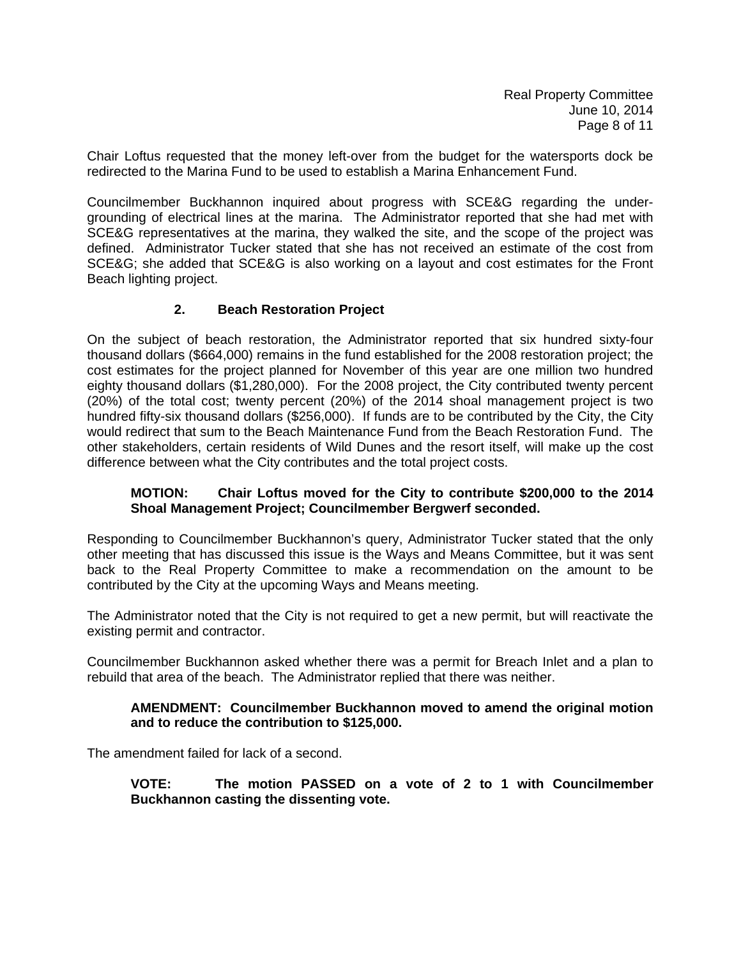Chair Loftus requested that the money left-over from the budget for the watersports dock be redirected to the Marina Fund to be used to establish a Marina Enhancement Fund.

Councilmember Buckhannon inquired about progress with SCE&G regarding the undergrounding of electrical lines at the marina. The Administrator reported that she had met with SCE&G representatives at the marina, they walked the site, and the scope of the project was defined. Administrator Tucker stated that she has not received an estimate of the cost from SCE&G; she added that SCE&G is also working on a layout and cost estimates for the Front Beach lighting project.

### **2. Beach Restoration Project**

On the subject of beach restoration, the Administrator reported that six hundred sixty-four thousand dollars (\$664,000) remains in the fund established for the 2008 restoration project; the cost estimates for the project planned for November of this year are one million two hundred eighty thousand dollars (\$1,280,000). For the 2008 project, the City contributed twenty percent (20%) of the total cost; twenty percent (20%) of the 2014 shoal management project is two hundred fifty-six thousand dollars (\$256,000). If funds are to be contributed by the City, the City would redirect that sum to the Beach Maintenance Fund from the Beach Restoration Fund. The other stakeholders, certain residents of Wild Dunes and the resort itself, will make up the cost difference between what the City contributes and the total project costs.

### **MOTION: Chair Loftus moved for the City to contribute \$200,000 to the 2014 Shoal Management Project; Councilmember Bergwerf seconded.**

Responding to Councilmember Buckhannon's query, Administrator Tucker stated that the only other meeting that has discussed this issue is the Ways and Means Committee, but it was sent back to the Real Property Committee to make a recommendation on the amount to be contributed by the City at the upcoming Ways and Means meeting.

The Administrator noted that the City is not required to get a new permit, but will reactivate the existing permit and contractor.

Councilmember Buckhannon asked whether there was a permit for Breach Inlet and a plan to rebuild that area of the beach. The Administrator replied that there was neither.

#### **AMENDMENT: Councilmember Buckhannon moved to amend the original motion and to reduce the contribution to \$125,000.**

The amendment failed for lack of a second.

**VOTE: The motion PASSED on a vote of 2 to 1 with Councilmember Buckhannon casting the dissenting vote.**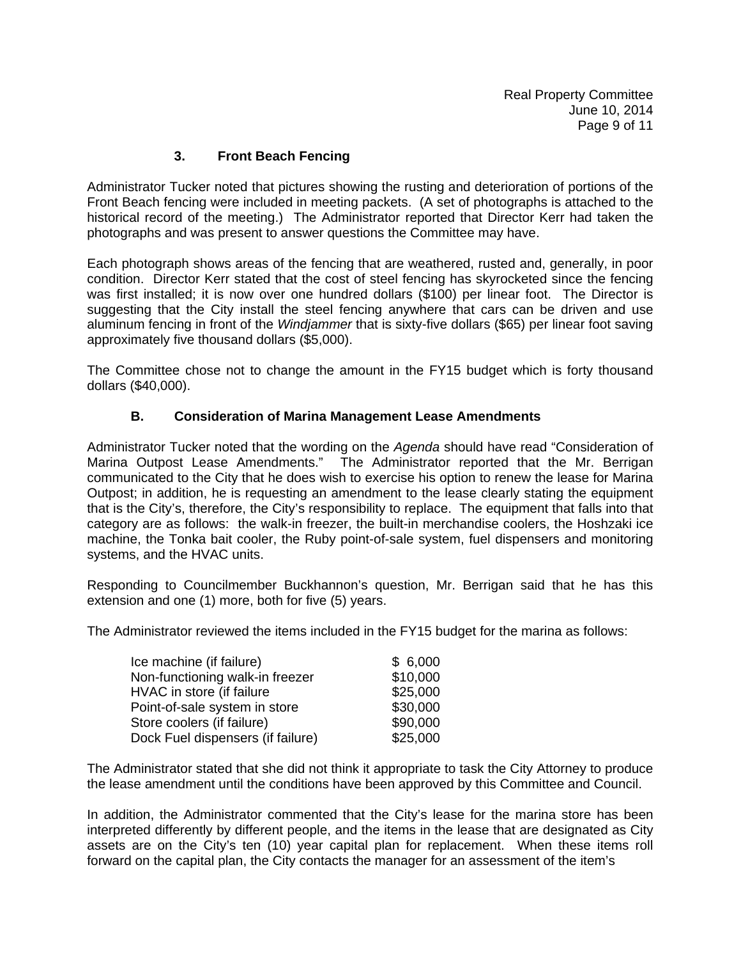# **3. Front Beach Fencing**

Administrator Tucker noted that pictures showing the rusting and deterioration of portions of the Front Beach fencing were included in meeting packets. (A set of photographs is attached to the historical record of the meeting.) The Administrator reported that Director Kerr had taken the photographs and was present to answer questions the Committee may have.

Each photograph shows areas of the fencing that are weathered, rusted and, generally, in poor condition. Director Kerr stated that the cost of steel fencing has skyrocketed since the fencing was first installed; it is now over one hundred dollars (\$100) per linear foot. The Director is suggesting that the City install the steel fencing anywhere that cars can be driven and use aluminum fencing in front of the *Windjammer* that is sixty-five dollars (\$65) per linear foot saving approximately five thousand dollars (\$5,000).

The Committee chose not to change the amount in the FY15 budget which is forty thousand dollars (\$40,000).

# **B. Consideration of Marina Management Lease Amendments**

Administrator Tucker noted that the wording on the *Agenda* should have read "Consideration of Marina Outpost Lease Amendments." The Administrator reported that the Mr. Berrigan communicated to the City that he does wish to exercise his option to renew the lease for Marina Outpost; in addition, he is requesting an amendment to the lease clearly stating the equipment that is the City's, therefore, the City's responsibility to replace. The equipment that falls into that category are as follows: the walk-in freezer, the built-in merchandise coolers, the Hoshzaki ice machine, the Tonka bait cooler, the Ruby point-of-sale system, fuel dispensers and monitoring systems, and the HVAC units.

Responding to Councilmember Buckhannon's question, Mr. Berrigan said that he has this extension and one (1) more, both for five (5) years.

The Administrator reviewed the items included in the FY15 budget for the marina as follows:

| Ice machine (if failure)          | \$6,000  |
|-----------------------------------|----------|
| Non-functioning walk-in freezer   | \$10,000 |
| HVAC in store (if failure         | \$25,000 |
| Point-of-sale system in store     | \$30,000 |
| Store coolers (if failure)        | \$90,000 |
| Dock Fuel dispensers (if failure) | \$25,000 |

The Administrator stated that she did not think it appropriate to task the City Attorney to produce the lease amendment until the conditions have been approved by this Committee and Council.

In addition, the Administrator commented that the City's lease for the marina store has been interpreted differently by different people, and the items in the lease that are designated as City assets are on the City's ten (10) year capital plan for replacement. When these items roll forward on the capital plan, the City contacts the manager for an assessment of the item's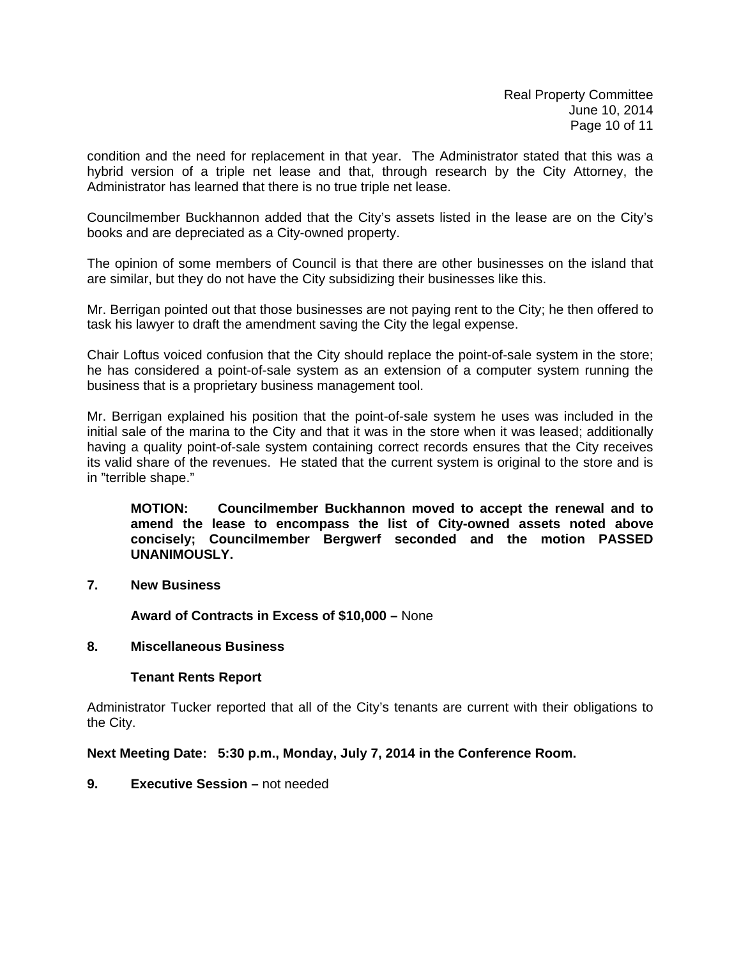condition and the need for replacement in that year. The Administrator stated that this was a hybrid version of a triple net lease and that, through research by the City Attorney, the Administrator has learned that there is no true triple net lease.

Councilmember Buckhannon added that the City's assets listed in the lease are on the City's books and are depreciated as a City-owned property.

The opinion of some members of Council is that there are other businesses on the island that are similar, but they do not have the City subsidizing their businesses like this.

Mr. Berrigan pointed out that those businesses are not paying rent to the City; he then offered to task his lawyer to draft the amendment saving the City the legal expense.

Chair Loftus voiced confusion that the City should replace the point-of-sale system in the store; he has considered a point-of-sale system as an extension of a computer system running the business that is a proprietary business management tool.

Mr. Berrigan explained his position that the point-of-sale system he uses was included in the initial sale of the marina to the City and that it was in the store when it was leased; additionally having a quality point-of-sale system containing correct records ensures that the City receives its valid share of the revenues. He stated that the current system is original to the store and is in "terrible shape."

**MOTION: Councilmember Buckhannon moved to accept the renewal and to amend the lease to encompass the list of City-owned assets noted above concisely; Councilmember Bergwerf seconded and the motion PASSED UNANIMOUSLY.** 

**7. New Business** 

 **Award of Contracts in Excess of \$10,000 –** None

#### **8. Miscellaneous Business**

#### **Tenant Rents Report**

Administrator Tucker reported that all of the City's tenants are current with their obligations to the City.

**Next Meeting Date: 5:30 p.m., Monday, July 7, 2014 in the Conference Room.** 

**9. Executive Session –** not needed